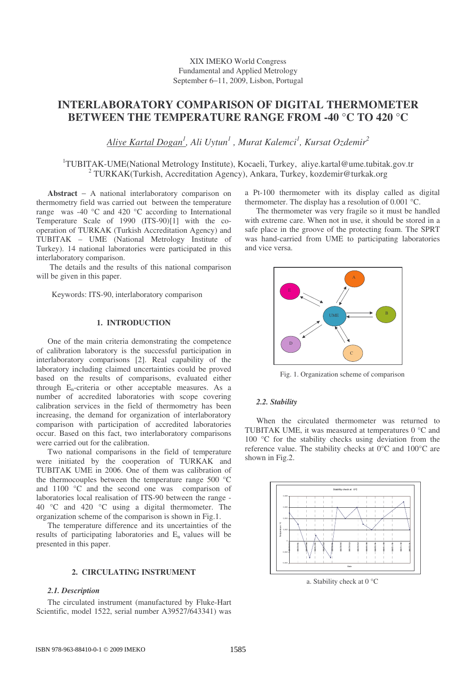XIX IMEKO World Congress Fundamental and Applied Metrology September 6−11, 2009, Lisbon, Portugal

# **INTERLABORATORY COMPARISON OF DIGITAL THERMOMETER BETWEEN THE TEMPERATURE RANGE FROM -40 °C TO 420 °C**

*Aliye Kartal Dogan 1 , Ali Uytun 1 , Murat Kalemci 1 , Kursat Ozdemir 2*

<sup>1</sup>TUBITAK-UME(National Metrology Institute), Kocaeli, Turkey, aliye.kartal@ume.tubitak.gov.tr <sup>2</sup> TURKAK(Turkish, Accreditation Agency), Ankara, Turkey, kozdemir@turkak.org

**Abstract** − A national interlaboratory comparison on thermometry field was carried out between the temperature range was -40 °C and 420 °C according to International Temperature Scale of 1990 (ITS-90)[1] with the cooperation of TURKAK (Turkish Accreditation Agency) and TUBITAK – UME (National Metrology Institute of Turkey). 14 national laboratories were participated in this interlaboratory comparison.

The details and the results of this national comparison will be given in this paper.

Keywords: ITS-90, interlaboratory comparison

# **1. INTRODUCTION**

One of the main criteria demonstrating the competence of calibration laboratory is the successful participation in interlaboratory comparisons [2]. Real capability of the laboratory including claimed uncertainties could be proved based on the results of comparisons, evaluated either through  $E_n$ -criteria or other acceptable measures. As a number of accredited laboratories with scope covering calibration services in the field of thermometry has been increasing, the demand for organization of interlaboratory comparison with participation of accredited laboratories occur. Based on this fact, two interlaboratory comparisons were carried out for the calibration.

Two national comparisons in the field of temperature were initiated by the cooperation of TURKAK and TUBITAK UME in 2006. One of them was calibration of the thermocouples between the temperature range 500 °C and 1100 °C and the second one was comparison of laboratories local realisation of ITS-90 between the range - 40 °C and 420 °C using a digital thermometer. The organization scheme of the comparison is shown in Fig.1.

The temperature difference and its uncertainties of the results of participating laboratories and  $E_n$  values will be presented in this paper.

### **2. CIRCULATING INSTRUMENT**

# *2.1. Description*

The circulated instrument (manufactured by Fluke-Hart Scientific, model 1522, serial number A39527/643341) was a Pt-100 thermometer with its display called as digital thermometer. The display has a resolution of 0.001 °C.

The thermometer was very fragile so it must be handled with extreme care. When not in use, it should be stored in a safe place in the groove of the protecting foam. The SPRT was hand-carried from UME to participating laboratories and vice versa.



Fig. 1. Organization scheme of comparison

#### *2.2. Stability*

When the circulated thermometer was returned to TUBITAK UME, it was measured at temperatures 0 °C and 100 °C for the stability checks using deviation from the reference value. The stability checks at 0°C and 100°C are shown in Fig.2.



a. Stability check at 0 °C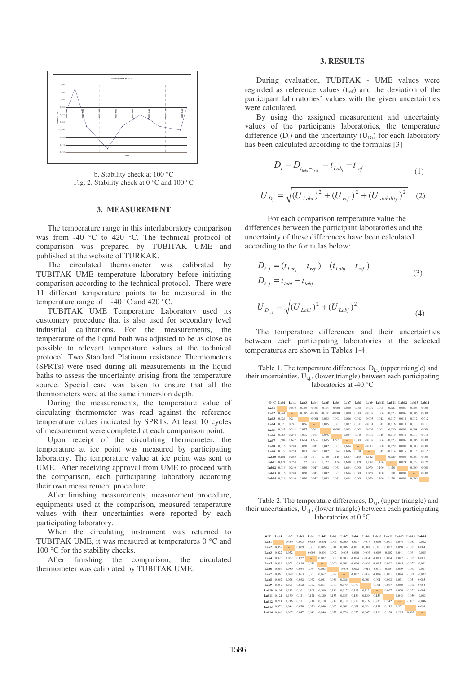

b. Stability check at 100 °C Fig. 2. Stability check at 0 °C and 100 °C

#### **3. MEASUREMENT**

The temperature range in this interlaboratory comparison was from -40 °C to 420 °C. The technical protocol of comparison was prepared by TUBITAK UME and published at the website of TURKAK.

The circulated thermometer was calibrated by TUBITAK UME temperature laboratory before initiating comparison according to the technical protocol. There were 11 different temperature points to be measured in the temperature range of  $-40^{\circ}$ C and 420 °C.

TUBITAK UME Temperature Laboratory used its customary procedure that is also used for secondary level industrial calibrations. For the measurements, the temperature of the liquid bath was adjusted to be as close as possible to relevant temperature values at the technical protocol. Two Standard Platinum resistance Thermometers (SPRTs) were used during all measurements in the liquid baths to assess the uncertainty arising from the temperature source. Special care was taken to ensure that all the thermometers were at the same immersion depth.

During the measurements, the temperature value of circulating thermometer was read against the reference temperature values indicated by SPRTs. At least 10 cycles of measurement were completed at each comparison point.

Upon receipt of the circulating thermometer, the temperature at ice point was measured by participating laboratory. The temperature value at ice point was sent to UME. After receiving approval from UME to proceed with the comparison, each participating laboratory according their own measurement procedure.

After finishing measurements, measurement procedure, equipments used at the comparison, measured temperature values with their uncertainties were reported by each participating laboratory.

When the circulating instrument was returned to TUBITAK UME, it was measured at temperatures 0 °C and 100 °C for the stability checks.

After finishing the comparison, the circulated thermometer was calibrated by TUBITAK UME.

#### **3. RESULTS**

During evaluation, TUBITAK - UME values were regarded as reference values  $(t_{ref})$  and the deviation of the participant laboratories' values with the given uncertainties were calculated.

By using the assigned measurement and uncertainty values of the participants laboratories, the temperature difference  $(D_i)$  and the uncertainty  $(U_{Di})$  for each laboratory has been calculated according to the formulas [3]

$$
D_i = D_{t_{labi} - t_{ref}} = t_{Lab_i} - t_{ref}
$$
\n<sup>(1)</sup>

$$
U_{D_i} = \sqrt{(U_{Labi})^2 + (U_{ref})^2 + (U_{stability})^2}
$$
 (2)

For each comparison temperature value the differences between the participant laboratories and the uncertainty of these differences have been calculated according to the formulas below:

$$
D_{i,j} = (t_{Lab_i} - t_{ref}) - (t_{Labj} - t_{ref})
$$
  
\n
$$
D_{i,j} = t_{labi} - t_{labj}
$$
  
\n
$$
U_{D_{i,j}} = \sqrt{(U_{Labi})^2 + (U_{Labj})^2}
$$
\n(3)

The temperature differences and their uncertainties between each participating laboratories at the selected temperatures are shown in Tables 1-4.

Table 1. The temperature differences,  $D_{i,j}$ , (upper triangle) and their uncertainties,  $U_{i,j}$ , (lower triangle) between each participating laboratories at -40 °C

| -40 °C           | Lab1   | Lab <sub>2</sub>         | Lab <sub>3</sub>         | Lab4                     | Lab5                     | Lab6                     | Lab7   | Lab <sub>8</sub>         | Lab9                     |        | Lab10 Lab11 |                          | Lab12 Lab13 Lab14 |                |
|------------------|--------|--------------------------|--------------------------|--------------------------|--------------------------|--------------------------|--------|--------------------------|--------------------------|--------|-------------|--------------------------|-------------------|----------------|
| Lab1             | $\sim$ | 0.000                    | $-0.006$                 | $-0.008$                 | $-0.003$                 | $-0.004$                 | 0.000  | 0.005                    | $-0.009$                 | 0.005  | $-0.023$    | 0.005                    | 0.005             | 0.005          |
| Lab <sub>2</sub> | 0.241  | $\overline{\phantom{a}}$ | $-0.006$                 | $-0.007$                 | $-0.003$                 | $-0.004$                 | 0.000  | 0.006                    | $-0.009$                 | 0.006  | $-0.023$    | 0.006                    | 0.006             | 0.006          |
| Lab <sub>3</sub> | 0.026  | 0.241                    | $\overline{\phantom{a}}$ | $-0.001$                 | 0.003                    | 0.002                    | 0.006  | 0.012                    | $-0.003$                 | 0.012  | $-0.017$    | 0.012                    | 0.012             | 0.012          |
| Lab4             | 0.023  | 0.241                    | 0.026                    | $\overline{\phantom{a}}$ | 0.005                    | 0.003                    | 0.007  | 0.013                    | $-0.001$                 | 0.013  | $-0.016$    | 0.013                    | 0.013             | 0.013          |
| Lab5             | 0.045  | 0.244                    | 0.047                    | 0.045                    | $\overline{\phantom{a}}$ | $-0.001$                 | 0.003  | 0.008                    | $-0.006$                 | 0.008  | $-0.020$    | 0.008                    | 0.008             | 0.008          |
| Lab6             | 0.065  | 0.248                    | 0.066                    | 0.065                    | 0.076                    | $\overline{\phantom{a}}$ | 0.004  | 0.010                    | $-0.005$                 | 0.010  | $-0.019$    | 0.010                    | 0.010             | 0.010          |
| Lab7             | 1.604  | 1.622                    | 1.604                    | 1.604                    | 1.605                    | 1.605                    | $\sim$ | 0.006                    | $-0.009$                 | 0.006  | $-0.023$    | 0.006                    | 0.006             | 0.006          |
| Lab <sub>8</sub> | 0.016  | 0.240                    | 0.020                    | 0.017                    | 0.042                    | 0.063                    | 1.604  | $\overline{\phantom{a}}$ | $-0.015$                 | 0.000  | $-0.029$    | 0.000                    | 0.000             | 0.000          |
| Lab9             | 0.072  | 0.250                    | 0.073                    | 0.072                    | 0.082                    | 0.094                    | 1.606  | 0.070                    | $\overline{\phantom{a}}$ | 0.015  | $-0.014$    | 0.015                    | 0.015             | 0.015          |
| Lab10 0.101      |        | 0.260                    | 0.102                    | 0.101                    | 0.108                    | 0.118                    | 1,607  | 0.100                    | 0.122                    | $\sim$ | $-0.029$    | 0.000                    | 0.000             | 0.000          |
| Lab11 0.121      |        | 0.268                    | 0.122                    | 0.121                    | 0.127                    | 0.136                    | 1.608  | 0.120                    | 0.139                    | 0.156  | -           | 0.029                    | 0.029             | 0.029          |
| Lab12 0.016      |        | 0.240                    | 0.020                    | 0.017                    | 0.042                    | 0.063                    | 1.604  | 0.000                    | 0.070                    | 0.100  | 0.120       | $\overline{\phantom{a}}$ | 0.000             | 0.000          |
| Lab13 0.016      |        | 0.240                    | 0.020                    | 0.017                    | 0.042                    | 0.063                    | 1.604  | 0.000                    | 0.070                    | 0.100  | 0.120       | 0.000                    | $\sim$            | 0.000          |
| Lab14 0.016      |        | 0.240                    | 0.020                    | 0.017                    | 0.042                    | 0.063                    | 1.604  | 0.000                    | 0.070                    | 0.100  | 0.120       | 0.000                    | 0.000             | $\overline{a}$ |

Table 2. The temperature differences,  $D_{i,j}$ , (upper triangle) and their uncertainties,  $U_{i,j}$ , (lower triangle) between each participating laboratories at 0 °C

| 0 °C             | Lab1                     | Lab <sub>2</sub>         | Lab <sub>3</sub> | Lab4                     | Lab5                     | Lab6                     | Lab7     | Lab <sub>8</sub>         | Lab9                     |          |                          | Lab10 Lab11 Lab12 Lab13 Lab14 |          |          |
|------------------|--------------------------|--------------------------|------------------|--------------------------|--------------------------|--------------------------|----------|--------------------------|--------------------------|----------|--------------------------|-------------------------------|----------|----------|
| Lab1             | $\overline{\phantom{a}}$ | $-0.006$                 | 0.003            | $-0.003$                 | $-0.001$                 | 0.005                    | 0.000    | $-0.007$                 | $-0.007$                 | $-0.006$ | 0.001                    | 0.044                         | $-0.058$ | $-0.002$ |
| Lab <sub>2</sub> | 0.052                    | $\overline{\phantom{a}}$ | 0.009            | 0.003                    | 0.005                    | 0.011                    | 0.006    | $-0.001$                 | 0.000                    | 0.000    | 0.007                    | 0.050                         | $-0.052$ | 0.004    |
| Lab <sub>3</sub> | 0.022                    | 0.052                    | $\sim$           | $-0.006$                 | $-0.004$                 | 0.002                    | $-0.003$ | $-0.010$                 | $-0.009$                 | $-0.009$ | $-0.002$                 | 0.041                         | $-0.061$ | $-0.005$ |
| Lab4             | 0.023                    | 0.052                    | 0.022            | $\overline{\phantom{a}}$ | 0.002                    | 0.008                    | 0.003    | $-0.004$                 | $-0.004$                 | $-0.003$ | 0.004                    | 0.047                         | $-0.055$ | 0.001    |
| Lab5             | 0.019                    | 0.051                    | 0.018            | 0.019                    | $\overline{\phantom{a}}$ | 0.006                    | 0.001    |                          | $-0.006 - 0.006$         | $-0.005$ | 0.002                    | 0.045                         | $-0.057$ | $-0.001$ |
| Lab6             | 0.064                    | 0.080                    | 0.064            | 0.064                    | 0.063                    | $\overline{\phantom{a}}$ | $-0.005$ | $-0.012$                 | $-0.011$                 | $-0.011$ | $-0.004$                 | 0.039                         | $-0.063$ | $-0.007$ |
| Lab7             | 0.063                    | 0.079                    | 0.063            | 0.063                    | 0.062                    | 0.087                    | $\sim$   | $-0.007$                 | $-0.006$                 | $-0.006$ | 0.001                    | 0.044                         | $-0.058$ | $-0.002$ |
| Lab <sub>8</sub> | 0.062                    | 0.078                    | 0.062            | 0.062                    | 0.061                    | 0.086                    | 0.086    | $\overline{\phantom{a}}$ | 0.001                    | 0.001    | 0.008                    | 0.051                         | $-0.051$ | 0.005    |
| Lab9             | 0.052                    | 0.071                    | 0.052            | 0.052                    | 0.051                    | 0.080                    | 0.079    | 0.078                    | $\overline{\phantom{a}}$ | 0.001    | 0.007                    | 0.050                         | $-0.052$ | 0.004    |
| Lab10 0.101      |                          | 0.112                    | 0.101            | 0.101                    | 0.100                    | 0.118                    | 0.117    | 0.117                    | 0.112                    | $\sim$   | 0.007                    | 0.050                         | $-0.052$ | 0.004    |
| Lab11 0.121      |                          | 0.130                    | 0.121            | 0.121                    | 0.120                    | 0.135                    | 0.135    | 0.134                    | 0.130                    | 0.156    | $\overline{\phantom{a}}$ | 0.043                         | $-0.059$ | $-0.003$ |
| Lab12 0.211      |                          | 0.216                    | 0.211            | 0,211                    | 0,210                    | 0,219                    | 0.219    | 0,218                    | 0.216                    | 0.233    | 0.242                    | $\overline{\phantom{a}}$      | $-0.102$ | $-0.046$ |
| Lab13            | 0.070                    | 0.084                    | 0.070            | 0.070                    | 0.069                    | 0.092                    | 0.091    | 0.091                    | 0.084                    | 0.121    | 0.138                    | 0.221                         | $\sim$   | 0.056    |
| Lab14 0.048      |                          | 0.067                    | 0.047            | 0.048                    | 0.046                    | 0.077                    | 0.076    | 0.075                    | 0.067                    | 0.110    | 0.128                    | 0.215                         | 0.082    | $\sim$   |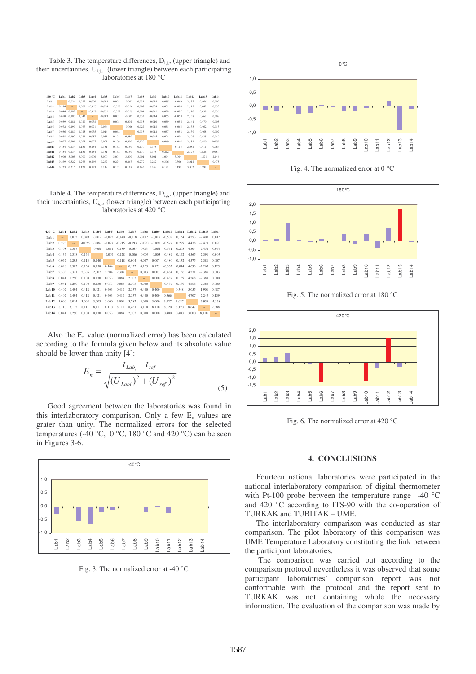Table 3. The temperature differences,  $D_{i,j}$ , (upper triangle) and their uncertainties,  $U_{i,j}$ , (lower triangle) between each participating laboratories at 180 °C

| 180 °C           | Lab1   | Lab <sub>2</sub> | Lab <sub>3</sub>         | Lab4          | Lab5     | Lab6     | Lab7     | Lab <sub>8</sub> | Lab9          | Lab10                    | Lab11          | Lab12  | Lab13          | Lab14    |
|------------------|--------|------------------|--------------------------|---------------|----------|----------|----------|------------------|---------------|--------------------------|----------------|--------|----------------|----------|
| Lab1             | $\sim$ | 0.024            | 0.027                    | 0.000         | $-0.003$ | 0.004    | $-0.002$ | 0.031            | $-0.014$      | 0.055                    | $-0.060$       | 2.137  | 0.466          | $-0.009$ |
| Lab <sub>2</sub> | 0.184  | $\sim$           | 0.003                    | $-0.025$      | $-0.028$ | $-0.020$ | $-0.026$ | 0.007            | $-0.038$      | 0.031                    | $-0.084$       | 2.113  | 0.442          | $-0.033$ |
| Lab <sub>3</sub> | 0.044  | 0.182            | $\overline{\phantom{a}}$ | $-0.028$      | $-0.031$ | $-0,023$ | $-0.029$ | 0.004            | $-0.041$      | 0.028                    | $-0.087$       | 2,110  | 0.439          | $-0.036$ |
| Lab4             | 0.050  | 0.183            | 0.043                    | $\frac{1}{2}$ | $-0.003$ | 0.005    | $-0.002$ | 0.032            | $-0.014$      | 0.055                    | $-0.059$       | 2.138  | 0.467          | $-0.008$ |
| Lab5             | 0.039  | 0.181            | 0.029                    | 0.038         | $\sim$   | 0.008    | 0.002    | 0.035            | $-0.010$      | 0.059                    | $-0.056$       | 2.141  | 0.470          | $-0.005$ |
| Lab6             | 0.072  | 0.190            | 0.067                    | 0.071         | 0.064    | $\sim$   | $-0.006$ | 0.027            | $-0.018$      | 0.051                    | $-0.064$       | 2.133  | 0.462          | $-0.013$ |
| Lab7             | 0.036  | 0.180            | 0.025                    | 0.035         | 0.014    | 0.062    | $\sim$   | 0.033            | $-0.012$      | 0.057                    | $-0.058$       | 2.139  | 0.468          | $-0.007$ |
| Lab <sub>8</sub> | 0.088  | 0.197            | 0.084                    | 0.087         | 0.081    | 0.101    | 0.080    | $\sim$           | $-0.045$      | 0.024                    | $-0.091$       | 2.106  | 0.435          | $-0.040$ |
| Lab9             | 0.097  | 0.201            | 0.093                    | 0.097         | 0.091    | 0.109    | 0.090    | 0.120            | $\frac{1}{2}$ | 0.069                    | $-0.046$       | 2.151  | 0.480          | 0.005    |
| Lab10            | 0.154  | 0.234            | 0.152                    | 0.154         | 0.151    | 0.162    | 0.150    | 0.170            | 0.175         | $\overline{\phantom{a}}$ | $-0.115$       | 2.082  | 0.411          | $-0.064$ |
| Lab11            | 0.154  | 0.234            | 0.152                    | 0.154         | 0.151    | 0.162    | 0.150    | 0.170            | 0.175         | 0.212                    | $\overline{a}$ | 2.197  | 0.526          | 0.051    |
| Lab12            | 3.000  | 3.005            | 3.000                    | 3.000         | 3.000    | 3.001    | 3.000    | 3.001            | 3.001         | 3.004                    | 3.004          | $\sim$ | $-1.671$       | $-2.146$ |
| Lab13            | 0.269  | 0.322            | 0.268                    | 0.269         | 0.267    | 0.274    | 0.267    | 0.279            | 0.282         | 0.306                    | 0.306          | 3.012  | $\overline{a}$ | $-0.475$ |
| Lab14            | 0.123  | 0.215            | 0.121                    | 0.123         | 0.119    | 0.133    | 0.118    | 0.143            | 0.148         | 0.191                    | 0.191          | 3.002  | 0.292          | $\sim$   |

Table 4. The temperature differences,  $D_{i,j}$ , (upper triangle) and their uncertainties,  $U_{i,j}$ , (lower triangle) between each participating laboratories at 420 °C

| 420 °C           | Lab1   | Lab <sub>2</sub>         | Lab <sub>3</sub> | Lab4     | Lab5     | Lab6          | Lab7     | Lab <sub>8</sub>  | Lab9     | Lab10    | Lab11    | Lab12  | Lab13         | Lab14    |
|------------------|--------|--------------------------|------------------|----------|----------|---------------|----------|-------------------|----------|----------|----------|--------|---------------|----------|
| Lab1             | $\sim$ | 0.075                    | 0.049            | $-0.012$ | $-0.022$ | $-0.140$      | $-0.018$ | $-0.015$          | $-0.015$ | $-0.502$ | $-0.154$ | 4.553  | $-2.403$      | $-0.015$ |
| Lab <sub>2</sub> | 0.293  | $\overline{\phantom{a}}$ | $-0.026$         | $-0.087$ | $-0.097$ | $-0.215$      | $-0.093$ | $-0.090$          | $-0.090$ | $-0.577$ | $-0.229$ | 4.478  | $-2.478$      | $-0.090$ |
| Lab <sub>3</sub> | 0.108  | 0.307                    | $\sim$           | $-0.061$ | $-0.071$ | $-0.189$      | $-0.067$ | $-0.064$          | $-0.064$ | $-0.551$ | $-0.203$ | 4.504  | $-2.452$      | $-0.064$ |
| Lab4             | 0.136  | 0.318                    | 0.164            | $\cdots$ | $-0.009$ | $-0.128$      | $-0.006$ | $-0.003$          | $-0.003$ | $-0.489$ | $-0.142$ | 4.565  | $-2.391$      | $-0.003$ |
| Lab5             | 0.067  | 0,295                    | 0.113            | 0,140    | $\sim$   | $-0.118$      | 0,004    | 0,007             | 0,007    | $-0.480$ | $-0.132$ | 4.575  | $-2.381$      | 0.007    |
| Lab6             | 0.098  | 0.303                    | 0.134            | 0.158    | 0.104    | $\frac{1}{2}$ | 0,122    | 0,125             | 0,125    | $-0.362$ | $-0.014$ | 4.693  | $-2.263$      | 0.125    |
| Lab7             | 2.303  | 2.321                    | 2,305            | 2.307    | 2,304    | 2.305         | $\sim$   | 0.003             | 0.003    | $-0.484$ | $-0.136$ | 4.571  | $-2.385$      | 0.003    |
| Lab <sub>8</sub> | 0.041  | 0.290                    | 0.100            | 0.130    | 0.053    | 0.089         | 2.303    | $\qquad \qquad -$ | 0.000    | $-0.487$ | $-0.139$ | 4.568  | $-2.388$      | 0.000    |
| Lab9             | 0.041  | 0.290                    | 0.100            | 0.130    | 0.053    | 0.089         | 2.303    | 0.000             | $\sim$   | $-0.487$ | $-0.139$ | 4.568  | $-2.388$      | 0.000    |
| Lab10            | 0.402  | 0.494                    | 0.412            | 0.421    | 0.403    | 0.410         | 2.337    | 0.400             | 0.400    | $\sim$   | 0.348    | 5.055  | $-1.901$      | 0.487    |
| Lab11            | 0.402  | 0.494                    | 0.412            | 0.421    | 0.403    | 0.410         | 2,337    | 0.400             | 0.400    | 0.566    | $\cdots$ | 4.707  | $-2.249$      | 0.139    |
| Lab12            | 3.000  | 3.014                    | 3.002            | 3.003    | 3.000    | 3.001         | 3.782    | 3.000             | 3.000    | 3.027    | 3.027    | $\sim$ | $-6.956$      | $-4.568$ |
| Lab13            | 8.110  | 8,115                    | 8,111            | 8,111    | 8,110    | 8,110         | 8,431    | 8,110             | 8,110    | 8.120    | 8.120    | 8.647  | $\frac{1}{2}$ | 2,388    |
| Lab14            | 0.041  | 0.290                    | 0.100            | 0.130    | 0.053    | 0.089         | 2.303    | 0.000             | 0.000    | 0.400    | 0.400    | 3.000  | 8.110         | $\sim$   |

Also the  $E_n$  value (normalized error) has been calculated according to the formula given below and its absolute value should be lower than unity [4]:

$$
E_n = \frac{t_{Lab_i} - t_{ref}}{\sqrt{(U_{Labi})^2 + (U_{ref})^2}}
$$
\n(5)

Good agreement between the laboratories was found in this interlaboratory comparison. Only a few  $E_n$  values are grater than unity. The normalized errors for the selected temperatures (-40 °C, 0 °C, 180 °C and 420 °C) can be seen in Figures 3-6.



Fig. 3. The normalized error at -40 °C



Fig. 4. The normalized error at 0 °C



Fig. 5. The normalized error at 180 °C



Fig. 6. The normalized error at 420 °C

#### **4. CONCLUSIONS**

Fourteen national laboratories were participated in the national interlaboratory comparison of digital thermometer with Pt-100 probe between the temperature range -40 °C and 420 °C according to ITS-90 with the co-operation of TURKAK and TUBITAK – UME.

The interlaboratory comparison was conducted as star comparison. The pilot laboratory of this comparison was UME Temperature Laboratory constituting the link between the participant laboratories.

The comparison was carried out according to the comparison protocol nevertheless it was observed that some participant laboratories' comparison report was not conformable with the protocol and the report sent to TURKAK was not containing whole the necessary information. The evaluation of the comparison was made by